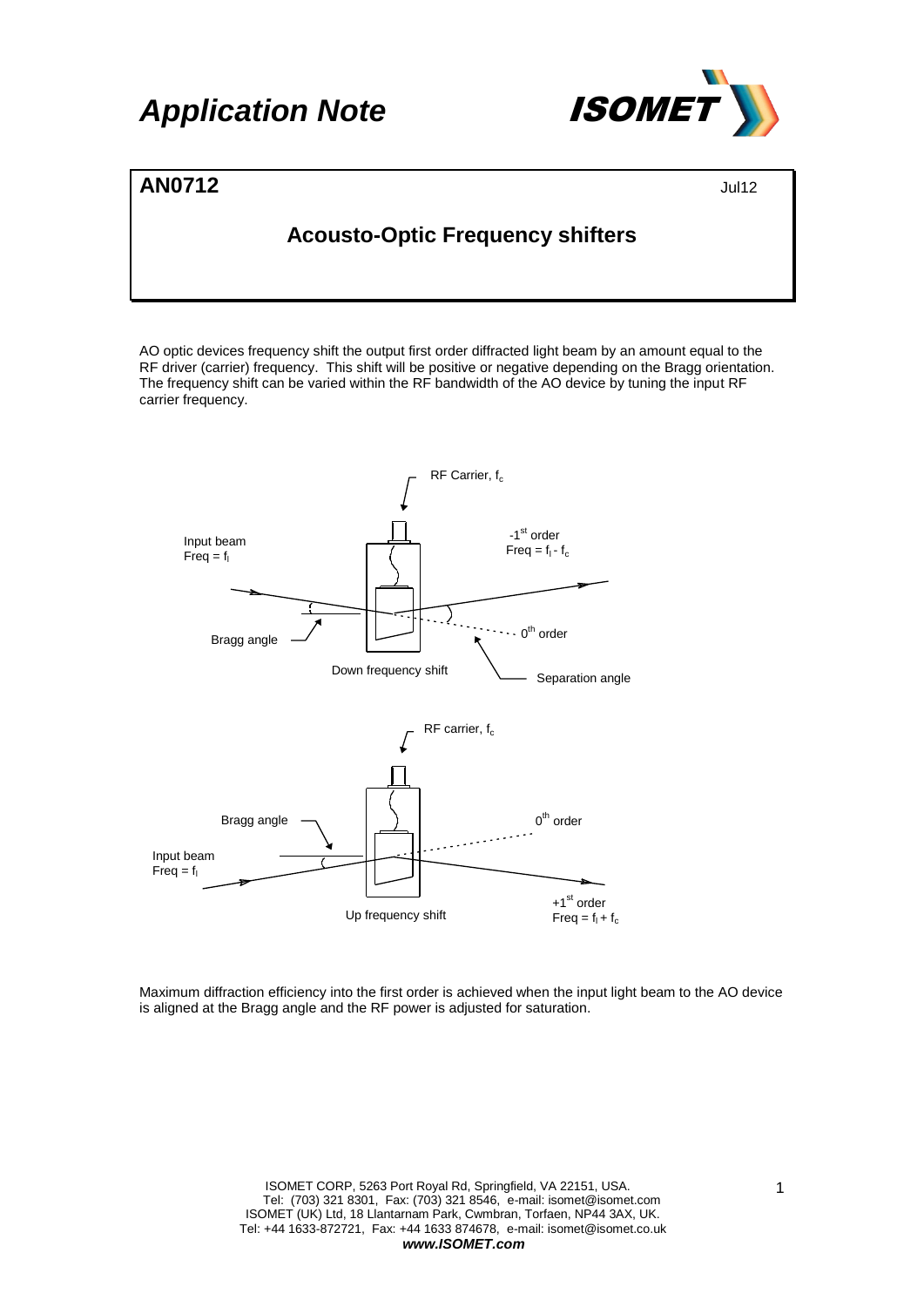# **Application Note /SOME**



### **AN0712** Jul12

### **Acousto-Optic Frequency shifters**

AO optic devices frequency shift the output first order diffracted light beam by an amount equal to the RF driver (carrier) frequency. This shift will be positive or negative depending on the Bragg orientation. The frequency shift can be varied within the RF bandwidth of the AO device by tuning the input RF carrier frequency.



Maximum diffraction efficiency into the first order is achieved when the input light beam to the AO device is aligned at the Bragg angle and the RF power is adjusted for saturation.

> ISOMET CORP, 5263 Port Royal Rd, Springfield, VA 22151, USA. Tel: (703) 321 8301, Fax: (703) 321 8546, e-mail: isomet@isomet.com ISOMET (UK) Ltd, 18 Llantarnam Park, Cwmbran, Torfaen, NP44 3AX, UK. Tel: +44 1633-872721, Fax: +44 1633 874678, e-mail: isomet@isomet.co.uk *www.ISOMET.com*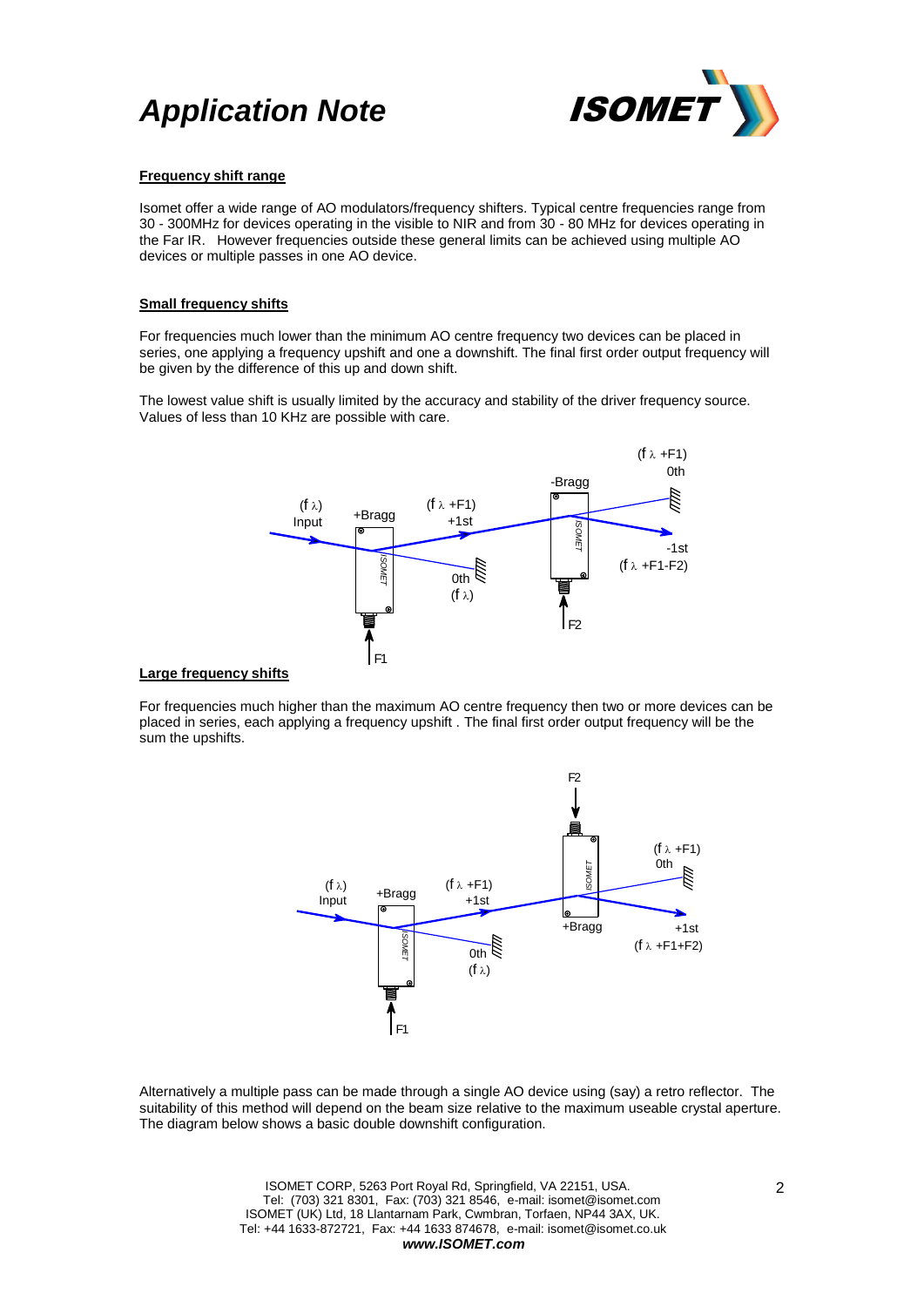



### **Frequency shift range**

Isomet offer a wide range of AO modulators/frequency shifters. Typical centre frequencies range from 30 - 300MHz for devices operating in the visible to NIR and from 30 - 80 MHz for devices operating in the Far IR. However frequencies outside these general limits can be achieved using multiple AO devices or multiple passes in one AO device.

#### **Small frequency shifts**

For frequencies much lower than the minimum AO centre frequency two devices can be placed in series, one applying a frequency upshift and one a downshift. The final first order output frequency will be given by the difference of this up and down shift.

The lowest value shift is usually limited by the accuracy and stability of the driver frequency source. Values of less than 10 KHz are possible with care.



### **Large frequency shifts**

For frequencies much higher than the maximum AO centre frequency then two or more devices can be placed in series, each applying a frequency upshift . The final first order output frequency will be the sum the upshifts.



Alternatively a multiple pass can be made through a single AO device using (say) a retro reflector. The suitability of this method will depend on the beam size relative to the maximum useable crystal aperture. The diagram below shows a basic double downshift configuration.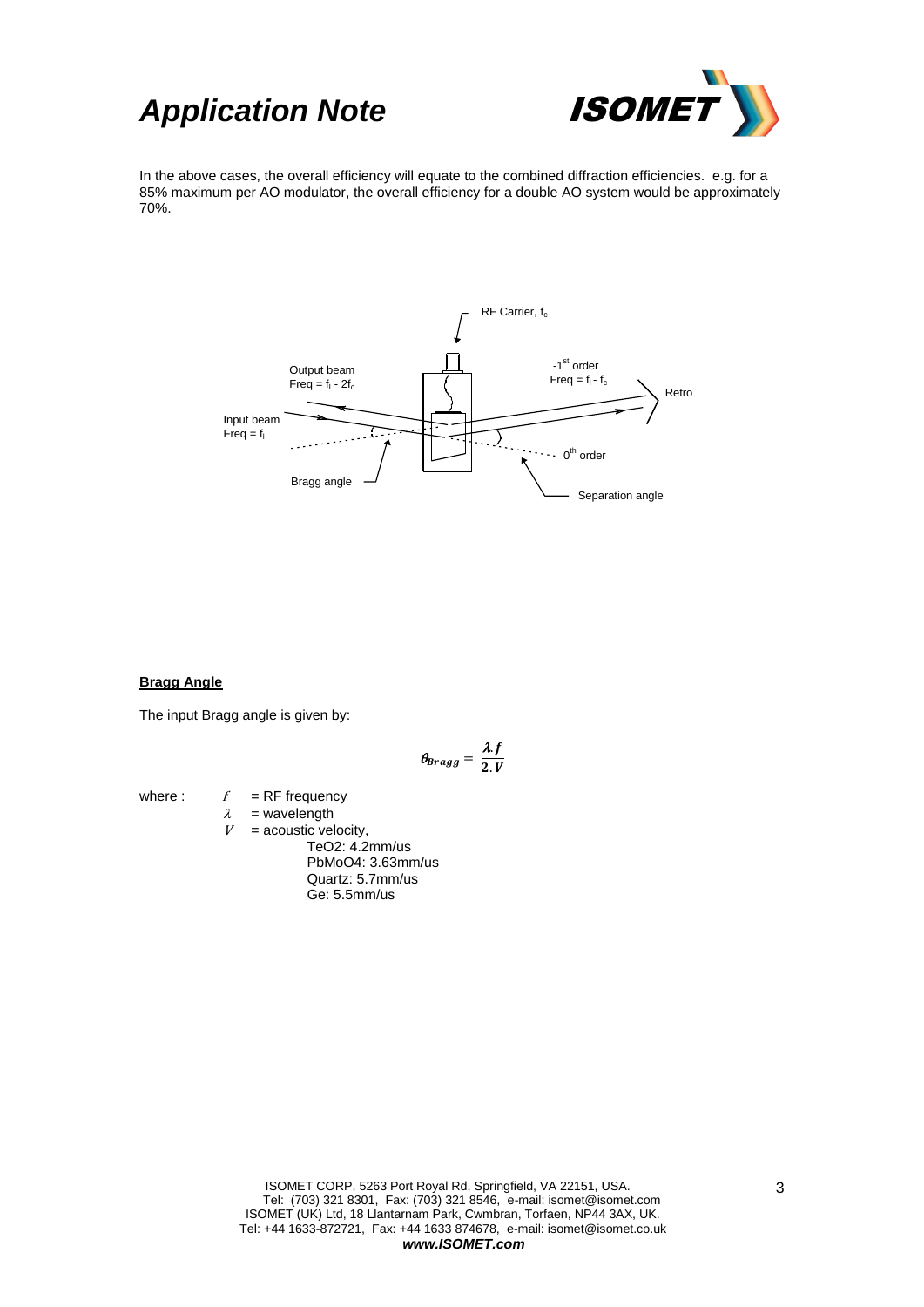



In the above cases, the overall efficiency will equate to the combined diffraction efficiencies. e.g. for a 85% maximum per AO modulator, the overall efficiency for a double AO system would be approximately 70%.



### **Bragg Angle**

The input Bragg angle is given by:

$$
\theta_{Bragg}=\frac{\lambda f}{2.V}
$$

where :  $f = RF$  frequency  $\lambda$  = wavelength<br>  $V$  = acoustic vel  $=$  acoustic velocity,

TeO2: 4.2mm/us PbMoO4: 3.63mm/us Quartz: 5.7mm/us Ge: 5.5mm/us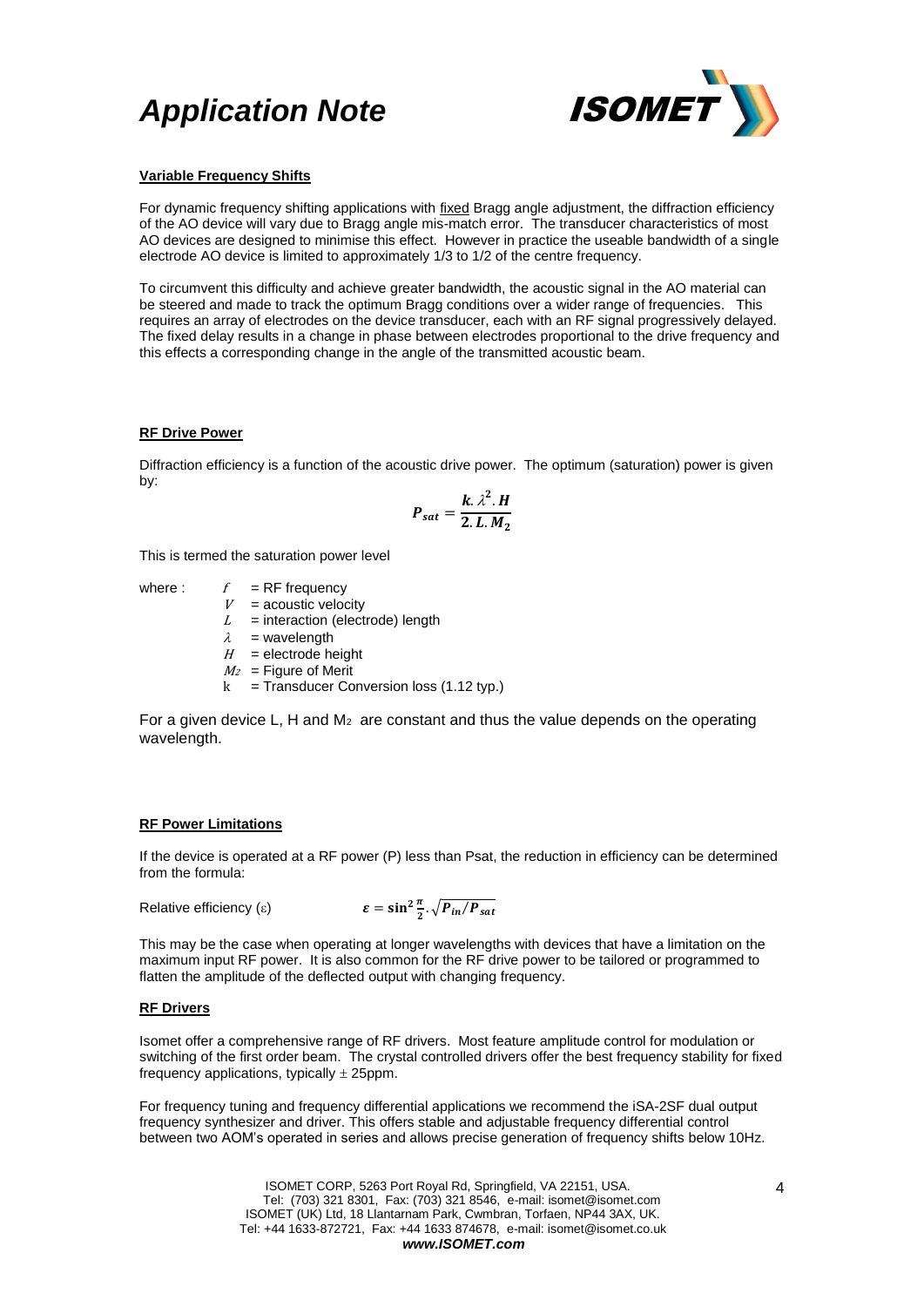## *Application Note* ISOMET



### **Variable Frequency Shifts**

For dynamic frequency shifting applications with fixed Bragg angle adjustment, the diffraction efficiency of the AO device will vary due to Bragg angle mis-match error. The transducer characteristics of most AO devices are designed to minimise this effect. However in practice the useable bandwidth of a single electrode AO device is limited to approximately 1/3 to 1/2 of the centre frequency.

To circumvent this difficulty and achieve greater bandwidth, the acoustic signal in the AO material can be steered and made to track the optimum Bragg conditions over a wider range of frequencies. This requires an array of electrodes on the device transducer, each with an RF signal progressively delayed. The fixed delay results in a change in phase between electrodes proportional to the drive frequency and this effects a corresponding change in the angle of the transmitted acoustic beam.

### **RF Drive Power**

Diffraction efficiency is a function of the acoustic drive power. The optimum (saturation) power is given by:

$$
P_{sat} = \frac{k \cdot \lambda^2 \cdot H}{2 \cdot L \cdot M_2}
$$

This is termed the saturation power level

where :  $f = RF$  frequency

 $V =$  acoustic velocity  $L =$  interaction (electrode) length  $\lambda$  = wavelength

- $H =$  electrode height  $M_2$  = Figure of Merit
- $k =$  Transducer Conversion loss (1.12 typ.)

For a given device L, H and  $M_2$  are constant and thus the value depends on the operating wavelength.

### **RF Power Limitations**

If the device is operated at a RF power (P) less than Psat, the reduction in efficiency can be determined from the formula:

Relative efficiency  $(\epsilon)$ 

$$
\varepsilon = \sin^2 \frac{\pi}{2} \cdot \sqrt{P_{in}/P_{sat}}
$$

This may be the case when operating at longer wavelengths with devices that have a limitation on the maximum input RF power. It is also common for the RF drive power to be tailored or programmed to flatten the amplitude of the deflected output with changing frequency.

### **RF Drivers**

Isomet offer a comprehensive range of RF drivers. Most feature amplitude control for modulation or switching of the first order beam. The crystal controlled drivers offer the best frequency stability for fixed frequency applications, typically  $\pm$  25ppm.

For frequency tuning and frequency differential applications we recommend the iSA-2SF dual output frequency synthesizer and driver. This offers stable and adjustable frequency differential control between two AOM's operated in series and allows precise generation of frequency shifts below 10Hz.

> ISOMET CORP, 5263 Port Royal Rd, Springfield, VA 22151, USA. Tel: (703) 321 8301, Fax: (703) 321 8546, e-mail: isomet@isomet.com ISOMET (UK) Ltd, 18 Llantarnam Park, Cwmbran, Torfaen, NP44 3AX, UK. Tel: +44 1633-872721, Fax: +44 1633 874678, e-mail: isomet@isomet.co.uk *www.ISOMET.com*